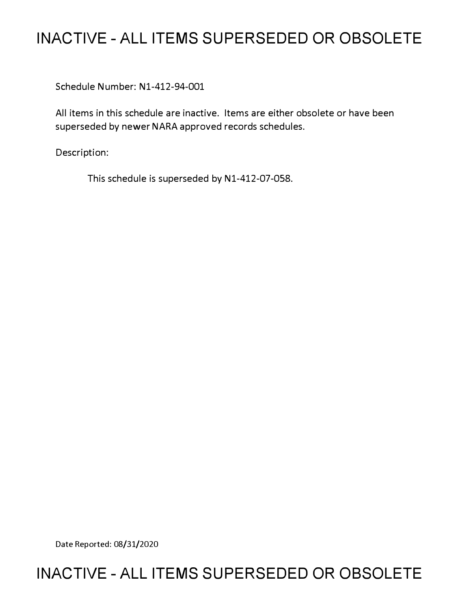# **INACTIVE - ALL ITEMS SUPERSEDED OR OBSOLETE**

Schedule Number: Nl-412-94-001

All items in this schedule are inactive. Items are either obsolete or have been superseded by newer NARA approved records schedules.

Description:

This schedule is superseded by N1-412-07-058.

Date Reported: 08/31/2020

# **INACTIVE - ALL ITEMS SUPERSEDED OR OBSOLETE**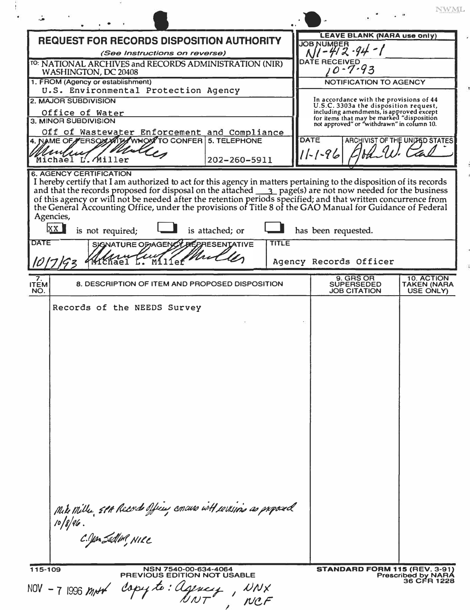|                                                                                                                                                                                                                                                                                                                                                                      | NWML                                                                                                                                |
|----------------------------------------------------------------------------------------------------------------------------------------------------------------------------------------------------------------------------------------------------------------------------------------------------------------------------------------------------------------------|-------------------------------------------------------------------------------------------------------------------------------------|
| <b>REQUEST FOR RECORDS DISPOSITION AUTHORITY</b>                                                                                                                                                                                                                                                                                                                     | <b>LEAVE BLANK (NARA use only)</b><br><b>JOB NUMBER</b>                                                                             |
| (See Instructions on reverse)<br>TO: NATIONAL ARCHIVES and RECORDS ADMINISTRATION (NIR)                                                                                                                                                                                                                                                                              | <b>DATE RECEIVED</b>                                                                                                                |
| WASHINGTON, DC 20408                                                                                                                                                                                                                                                                                                                                                 | $0 - 7 - 93$                                                                                                                        |
| 1. FROM (Agency or establishment)<br>U.S. Environmental Protection Agency                                                                                                                                                                                                                                                                                            | <b>NOTIFICATION TO AGENCY</b>                                                                                                       |
| 2. MAJOR SUBDIVISION                                                                                                                                                                                                                                                                                                                                                 | In accordance with the provisions of 44<br>U.S.C. 3303a the disposition request,                                                    |
| Office of Water<br>3. MINOR SUBDIVISION                                                                                                                                                                                                                                                                                                                              | including amendments, is approved except<br>for items that may be marked "disposition<br>not approved" or "withdrawn" in column 10. |
| Off of Wastewater Enforcement and Compliance<br>4. NAME OF FERSON WITH WHOM TO CONFER 5. TELEPHONE                                                                                                                                                                                                                                                                   | DATE<br>ARCHIVIST OF THE UNLAED STATES                                                                                              |
|                                                                                                                                                                                                                                                                                                                                                                      | $11 - 1 - 96$                                                                                                                       |
| Michael L. Miller<br>202-260-5911<br><b>6. AGENCY CERTIFICATION</b>                                                                                                                                                                                                                                                                                                  |                                                                                                                                     |
| and that the records proposed for disposal on the attached 3 page(s) are not now needed for the business of this agency or will not be needed after the retention periods specified; and that written concurrence from the Gen<br>Agencies,<br>xx<br>is not required;<br>is attached; or<br><b>DATE</b><br><b>TITLE</b><br>SIGNATURE OF AGENCY<br><b>RESENTATIVE</b> | has been requested.<br>Agency Records Officer                                                                                       |
| 7.                                                                                                                                                                                                                                                                                                                                                                   | <b>9. GRS OR</b><br>10. ACTION                                                                                                      |
| 8. DESCRIPTION OF ITEM AND PROPOSED DISPOSITION<br><b>ITEM</b><br>NO.                                                                                                                                                                                                                                                                                                | <b>SUPERSEDED</b><br><b>TAKEN (NARA</b><br><b>JOB CITATION</b><br>USE ONLY)                                                         |
| Mite Mille, 5PA Records offices concurs will certains as proposed<br>$10/8/96$ .<br>C.Jon Sadon, NIRE                                                                                                                                                                                                                                                                |                                                                                                                                     |
| 115-109<br>NSN 7540-00-634-4064<br><b>PREVIOUS EDITION NOT USABLE</b><br>NOV - 7 1996 mort capy to: Ugency                                                                                                                                                                                                                                                           | <b>STANDARD FORM 115 (REV. 3-91)</b><br><b>Prescribed by NARA</b><br>36 CFR 1228                                                    |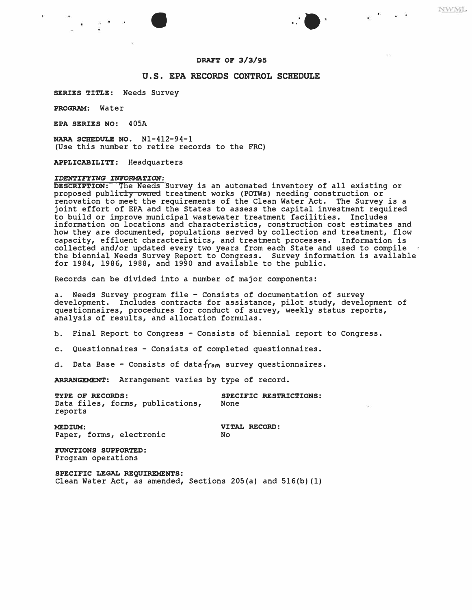$\bullet$  . The set of  $\bullet$   $\bullet$   $\bullet$   $\bullet$   $\bullet$ 

NWML

 $\omega_{\rm{eff}}=0.05$ 

## **U.S. EPA RECORDS CONTROL SCHEDULE**

**SERIES TITLE: Needs Survey** 

**PROGRAM:** Water

**EPA SERIES NO:** 405A

**NARA SCHEDULE NO.** Nl-412-94-1 (Use this number to retire records to the FRC)

**APPLICABILITY:** Headquarters

#### **IDENTIFYING INFORMATION:**

**DESCRIPTION:** The Needs Survey is an automated inventory of all existing or proposed publicly owned treatment works (POTWs) needing construction or renovation to meet the requirements of the Clean Water Act. The Survey is a joint effort of EPA and the States to assess the capital investment required to build or improve municipal wastewater treatment facilities. Includes information on locations and characteristics, construction cost estimates and how they are documented, populations served by collection and treatment, flow capacity, effluent characteristics, and treatment processes. Information is collected and/or updated every two years from each State and used to compile the biennial Needs Survey Report to Congress. Survey information is available for 1984, 1986, 1988, and 1990 and available to the public.

Records can be divided into a number of major components:

a. Needs Survey program file - Consists of documentation of survey development. Includes contracts for assistance, pilot study, development of questionnaires, procedures for conduct of survey, weekly status reports, analysis of results, and allocation formulas.

b. Final Report to Congress - Consists of biennial report to Congress.

c. Questionnaires - Consists of completed questionnaires.

d. Data Base - Consists of data from survey questionnaires.

ARRANGEMENT: Arrangement varies by type of record.

**TYPE OF RECORDS:** SPECIFIC RESTRICTIONS:<br>Data files, forms, publications, None Data files, forms, publications, reports

**MEDIUM: VITAL RECORD:**<br>
Paper, forms, electronic Mo Paper, forms, electronic

**FUNCTIONS SUPPORTED:**  Program operations

**SPECIFIC LEGAL REQUIREMENTS:** Clean Water Act, as amended, Sections 205(a) and 516(b) (1)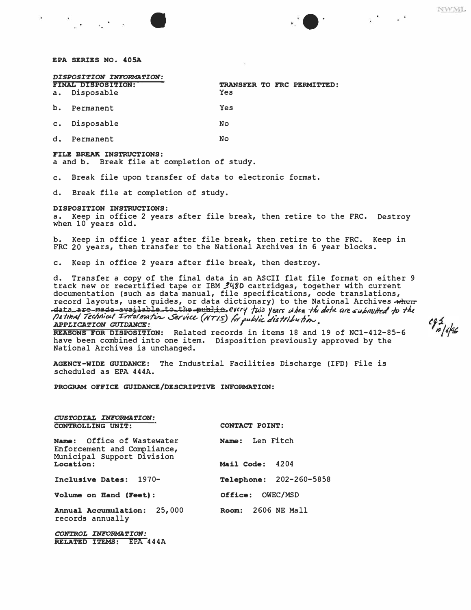1000 Andrew March 2014 - Andrew March 2014

|    | DISPOSITION INTORMATION:<br>FINAL DISPOSITION:<br>a. Disposable | Yes       |  | TRANSFER TO FRC PERMITTED: |
|----|-----------------------------------------------------------------|-----------|--|----------------------------|
| b. | Permanent                                                       | Yes       |  |                            |
|    | c. Disposable                                                   | <b>No</b> |  |                            |
| d. | Permanent                                                       | <b>No</b> |  |                            |

### **FILE BREAK INSTRUCTIONS:**

a and b. Break file at completion of study.

c. Break file upon transfer of data to electronic format.

d. Break file at completion of study.

### **DISPOSITION INSTRUCTIONS:**

a. Keep in office 2 years after file break, then retire to the FRC. Destroy when 10 years old.

b. Keep in office 1 year after file break, then retire to the FRC. Keep in<br>FBC 30 weeks, then tweefer to the National Instinct is 6 years blocks. FRC 20 years, then transfer to the National Archives in 6 year blocks.

c. Keep in office 2 years after file break, then destroy.

Datimal Technical Information Service (NTIS) for public distribution. d. Transfer a copy of the final data in an ASCII flat file format on either 9 track new or recertified tape or IBM 3480 cartridges, together with current documentation (such as data manual, file specifications, code translations, *record layouts, user guides, or data dictionary) to the National Archives when*<br> *data are made available to the public, every fus years when the date are submitted to the*<br> *Active Technical Tobernoon* Savies (unua) 6... record layouts, user guides, or data dictionary) to the National Archives when *APPLICATION GUIDANCE:* 

**REASONS FOR DISPOSITION:** Related records in items 18 and 19 of NCl-412-85-6 have been combined into one item. Disposition previously approved by the National Archives is unchanged.

**AGENCY-WIDE GUIDANCE:** The Industrial Facilities Discharge (IFD) File is scheduled as EPA 444A.

**PROGRAM OFFICE GUIDANCE/DESCRIPTIVE INFORMATION:** 

| CUSTODIAL INFORMATION:<br>CONTROLLING UNIT:                                             | CONTACT POINT:          |  |  |
|-----------------------------------------------------------------------------------------|-------------------------|--|--|
| Name: Office of Wastewater<br>Enforcement and Compliance,<br>Municipal Support Division | Name: Len Fitch         |  |  |
| Location:                                                                               | Mail Code:<br>4204      |  |  |
| Inclusive Dates:<br>$1970-$                                                             | Telephone: 202-260-5858 |  |  |
| Volume on Hand (Feet):                                                                  | Office: OWEC/MSD        |  |  |
| 25,000<br>Annual Accumulation:<br>records annually                                      | 2606 NE Mall<br>Room:   |  |  |

*CONTROL INFORMATION:*  **RELATED ITEMS:** EPA **444A** 

 $c_{\frac{3}{2}}$ 

 $\bullet$